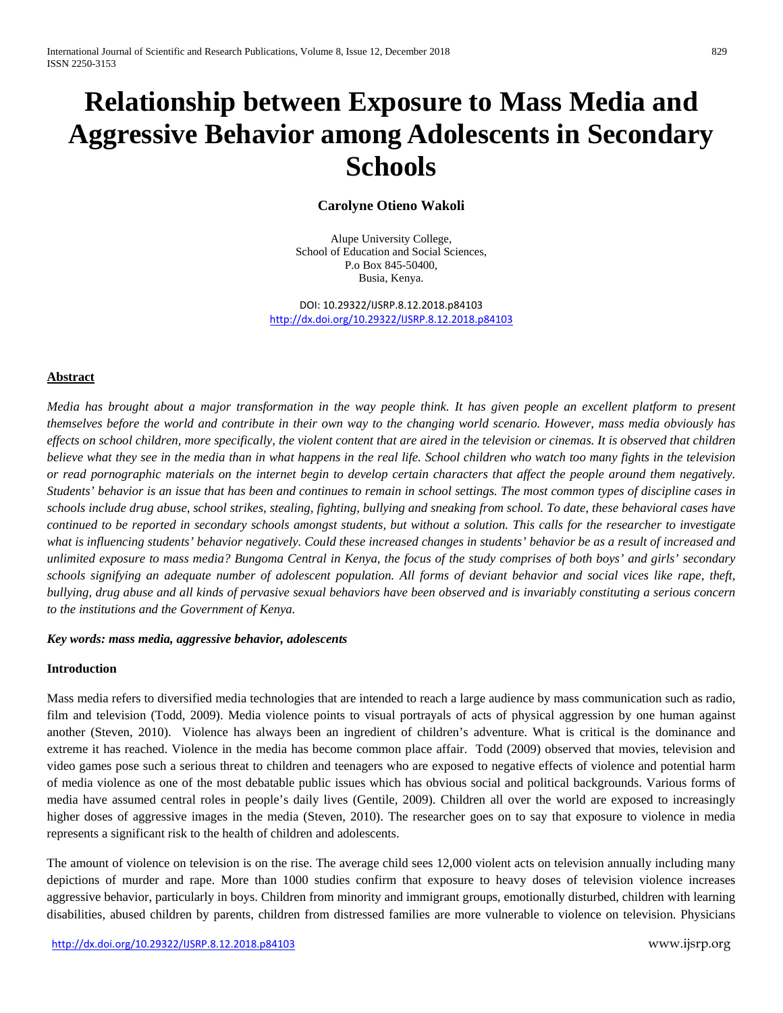# **Relationship between Exposure to Mass Media and Aggressive Behavior among Adolescents in Secondary Schools**

# **Carolyne Otieno Wakoli**

Alupe University College, School of Education and Social Sciences, P.o Box 845-50400, Busia, Kenya.

DOI: 10.29322/IJSRP.8.12.2018.p84103 <http://dx.doi.org/10.29322/IJSRP.8.12.2018.p84103>

# **Abstract**

*Media has brought about a major transformation in the way people think. It has given people an excellent platform to present themselves before the world and contribute in their own way to the changing world scenario. However, mass media obviously has effects on school children, more specifically, the violent content that are aired in the television or cinemas. It is observed that children believe what they see in the media than in what happens in the real life. School children who watch too many fights in the television or read pornographic materials on the internet begin to develop certain characters that affect the people around them negatively. Students' behavior is an issue that has been and continues to remain in school settings. The most common types of discipline cases in schools include drug abuse, school strikes, stealing, fighting, bullying and sneaking from school. To date, these behavioral cases have continued to be reported in secondary schools amongst students, but without a solution. This calls for the researcher to investigate what is influencing students' behavior negatively. Could these increased changes in students' behavior be as a result of increased and unlimited exposure to mass media? Bungoma Central in Kenya, the focus of the study comprises of both boys' and girls' secondary schools signifying an adequate number of adolescent population. All forms of deviant behavior and social vices like rape, theft, bullying, drug abuse and all kinds of pervasive sexual behaviors have been observed and is invariably constituting a serious concern to the institutions and the Government of Kenya.*

## *Key words: mass media, aggressive behavior, adolescents*

## **Introduction**

Mass media refers to diversified media technologies that are intended to reach a large audience by mass communication such as radio, film and television (Todd, 2009). Media violence points to visual portrayals of acts of physical aggression by one human against another (Steven, 2010). Violence has always been an ingredient of children's adventure. What is critical is the dominance and extreme it has reached. Violence in the media has become common place affair. Todd (2009) observed that movies, television and video games pose such a serious threat to children and teenagers who are exposed to negative effects of violence and potential harm of media violence as one of the most debatable public issues which has obvious social and political backgrounds. Various forms of media have assumed central roles in people's daily lives (Gentile, 2009). Children all over the world are exposed to increasingly higher doses of aggressive images in the media (Steven, 2010). The researcher goes on to say that exposure to violence in media represents a significant risk to the health of children and adolescents.

The amount of violence on television is on the rise. The average child sees 12,000 violent acts on television annually including many depictions of murder and rape. More than 1000 studies confirm that exposure to heavy doses of television violence increases aggressive behavior, particularly in boys. Children from minority and immigrant groups, emotionally disturbed, children with learning disabilities, abused children by parents, children from distressed families are more vulnerable to violence on television. Physicians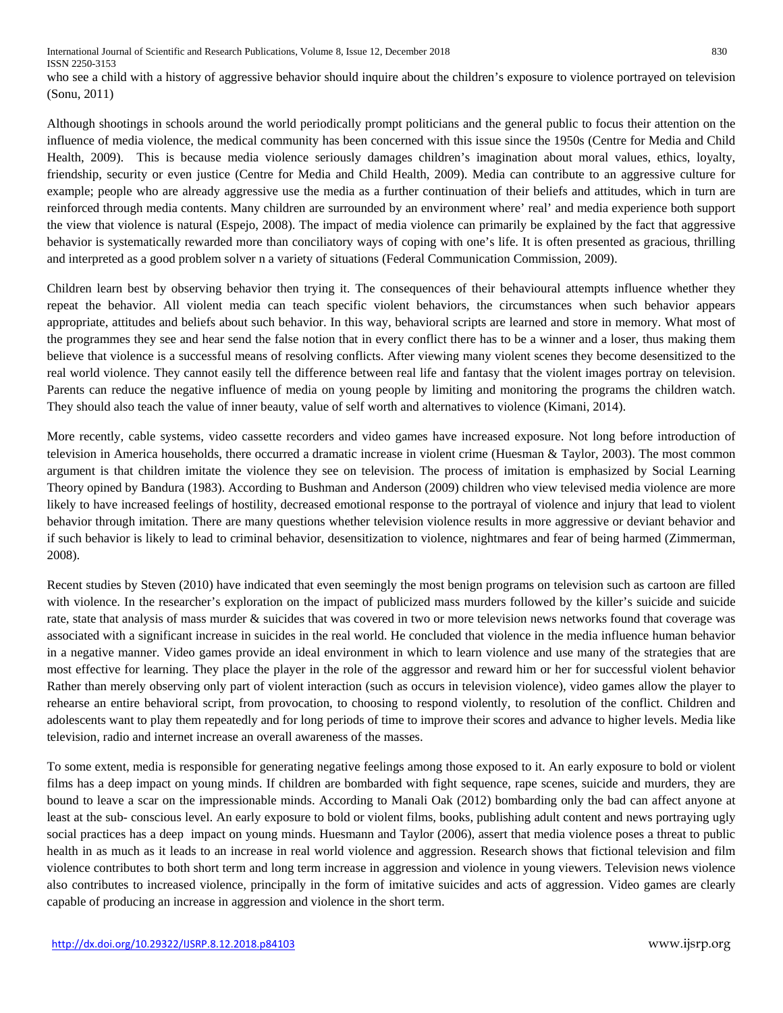who see a child with a history of aggressive behavior should inquire about the children's exposure to violence portrayed on television (Sonu, 2011)

Although shootings in schools around the world periodically prompt politicians and the general public to focus their attention on the influence of media violence, the medical community has been concerned with this issue since the 1950s (Centre for Media and Child Health, 2009). This is because media violence seriously damages children's imagination about moral values, ethics, loyalty, friendship, security or even justice (Centre for Media and Child Health, 2009). Media can contribute to an aggressive culture for example; people who are already aggressive use the media as a further continuation of their beliefs and attitudes, which in turn are reinforced through media contents. Many children are surrounded by an environment where' real' and media experience both support the view that violence is natural (Espejo, 2008). The impact of media violence can primarily be explained by the fact that aggressive behavior is systematically rewarded more than conciliatory ways of coping with one's life. It is often presented as gracious, thrilling and interpreted as a good problem solver n a variety of situations (Federal Communication Commission, 2009).

Children learn best by observing behavior then trying it. The consequences of their behavioural attempts influence whether they repeat the behavior. All violent media can teach specific violent behaviors, the circumstances when such behavior appears appropriate, attitudes and beliefs about such behavior. In this way, behavioral scripts are learned and store in memory. What most of the programmes they see and hear send the false notion that in every conflict there has to be a winner and a loser, thus making them believe that violence is a successful means of resolving conflicts. After viewing many violent scenes they become desensitized to the real world violence. They cannot easily tell the difference between real life and fantasy that the violent images portray on television. Parents can reduce the negative influence of media on young people by limiting and monitoring the programs the children watch. They should also teach the value of inner beauty, value of self worth and alternatives to violence (Kimani, 2014).

More recently, cable systems, video cassette recorders and video games have increased exposure. Not long before introduction of television in America households, there occurred a dramatic increase in violent crime (Huesman & Taylor, 2003). The most common argument is that children imitate the violence they see on television. The process of imitation is emphasized by Social Learning Theory opined by Bandura (1983). According to Bushman and Anderson (2009) children who view televised media violence are more likely to have increased feelings of hostility, decreased emotional response to the portrayal of violence and injury that lead to violent behavior through imitation. There are many questions whether television violence results in more aggressive or deviant behavior and if such behavior is likely to lead to criminal behavior, desensitization to violence, nightmares and fear of being harmed (Zimmerman, 2008).

Recent studies by Steven (2010) have indicated that even seemingly the most benign programs on television such as cartoon are filled with violence. In the researcher's exploration on the impact of publicized mass murders followed by the killer's suicide and suicide rate, state that analysis of mass murder & suicides that was covered in two or more television news networks found that coverage was associated with a significant increase in suicides in the real world. He concluded that violence in the media influence human behavior in a negative manner. Video games provide an ideal environment in which to learn violence and use many of the strategies that are most effective for learning. They place the player in the role of the aggressor and reward him or her for successful violent behavior Rather than merely observing only part of violent interaction (such as occurs in television violence), video games allow the player to rehearse an entire behavioral script, from provocation, to choosing to respond violently, to resolution of the conflict. Children and adolescents want to play them repeatedly and for long periods of time to improve their scores and advance to higher levels. Media like television, radio and internet increase an overall awareness of the masses.

To some extent, media is responsible for generating negative feelings among those exposed to it. An early exposure to bold or violent films has a deep impact on young minds. If children are bombarded with fight sequence, rape scenes, suicide and murders, they are bound to leave a scar on the impressionable minds. According to Manali Oak (2012) bombarding only the bad can affect anyone at least at the sub- conscious level. An early exposure to bold or violent films, books, publishing adult content and news portraying ugly social practices has a deep impact on young minds. Huesmann and Taylor (2006), assert that media violence poses a threat to public health in as much as it leads to an increase in real world violence and aggression. Research shows that fictional television and film violence contributes to both short term and long term increase in aggression and violence in young viewers. Television news violence also contributes to increased violence, principally in the form of imitative suicides and acts of aggression. Video games are clearly capable of producing an increase in aggression and violence in the short term.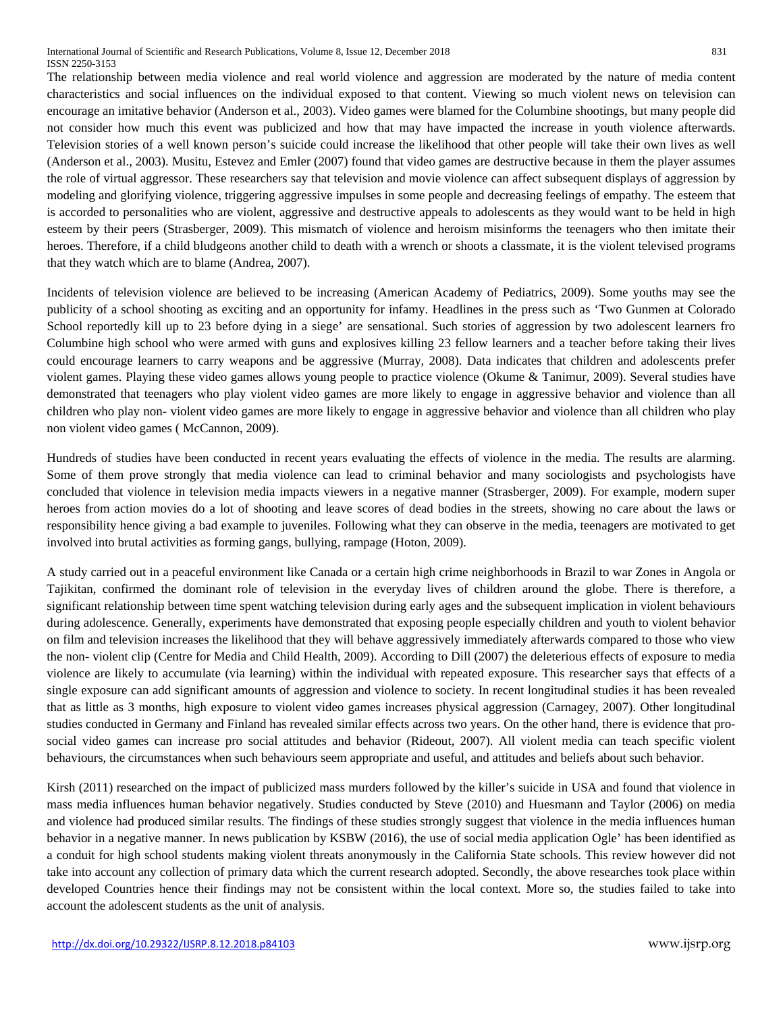The relationship between media violence and real world violence and aggression are moderated by the nature of media content characteristics and social influences on the individual exposed to that content. Viewing so much violent news on television can encourage an imitative behavior (Anderson et al., 2003). Video games were blamed for the Columbine shootings, but many people did not consider how much this event was publicized and how that may have impacted the increase in youth violence afterwards. Television stories of a well known person's suicide could increase the likelihood that other people will take their own lives as well (Anderson et al., 2003). Musitu, Estevez and Emler (2007) found that video games are destructive because in them the player assumes the role of virtual aggressor. These researchers say that television and movie violence can affect subsequent displays of aggression by modeling and glorifying violence, triggering aggressive impulses in some people and decreasing feelings of empathy. The esteem that is accorded to personalities who are violent, aggressive and destructive appeals to adolescents as they would want to be held in high esteem by their peers (Strasberger, 2009). This mismatch of violence and heroism misinforms the teenagers who then imitate their heroes. Therefore, if a child bludgeons another child to death with a wrench or shoots a classmate, it is the violent televised programs that they watch which are to blame (Andrea, 2007).

Incidents of television violence are believed to be increasing (American Academy of Pediatrics, 2009). Some youths may see the publicity of a school shooting as exciting and an opportunity for infamy. Headlines in the press such as 'Two Gunmen at Colorado School reportedly kill up to 23 before dying in a siege' are sensational. Such stories of aggression by two adolescent learners fro Columbine high school who were armed with guns and explosives killing 23 fellow learners and a teacher before taking their lives could encourage learners to carry weapons and be aggressive (Murray, 2008). Data indicates that children and adolescents prefer violent games. Playing these video games allows young people to practice violence (Okume & Tanimur, 2009). Several studies have demonstrated that teenagers who play violent video games are more likely to engage in aggressive behavior and violence than all children who play non- violent video games are more likely to engage in aggressive behavior and violence than all children who play non violent video games ( McCannon, 2009).

Hundreds of studies have been conducted in recent years evaluating the effects of violence in the media. The results are alarming. Some of them prove strongly that media violence can lead to criminal behavior and many sociologists and psychologists have concluded that violence in television media impacts viewers in a negative manner (Strasberger, 2009). For example, modern super heroes from action movies do a lot of shooting and leave scores of dead bodies in the streets, showing no care about the laws or responsibility hence giving a bad example to juveniles. Following what they can observe in the media, teenagers are motivated to get involved into brutal activities as forming gangs, bullying, rampage (Hoton, 2009).

A study carried out in a peaceful environment like Canada or a certain high crime neighborhoods in Brazil to war Zones in Angola or Tajikitan, confirmed the dominant role of television in the everyday lives of children around the globe. There is therefore, a significant relationship between time spent watching television during early ages and the subsequent implication in violent behaviours during adolescence. Generally, experiments have demonstrated that exposing people especially children and youth to violent behavior on film and television increases the likelihood that they will behave aggressively immediately afterwards compared to those who view the non- violent clip (Centre for Media and Child Health, 2009). According to Dill (2007) the deleterious effects of exposure to media violence are likely to accumulate (via learning) within the individual with repeated exposure. This researcher says that effects of a single exposure can add significant amounts of aggression and violence to society. In recent longitudinal studies it has been revealed that as little as 3 months, high exposure to violent video games increases physical aggression (Carnagey, 2007). Other longitudinal studies conducted in Germany and Finland has revealed similar effects across two years. On the other hand, there is evidence that prosocial video games can increase pro social attitudes and behavior (Rideout, 2007). All violent media can teach specific violent behaviours, the circumstances when such behaviours seem appropriate and useful, and attitudes and beliefs about such behavior.

Kirsh (2011) researched on the impact of publicized mass murders followed by the killer's suicide in USA and found that violence in mass media influences human behavior negatively. Studies conducted by Steve (2010) and Huesmann and Taylor (2006) on media and violence had produced similar results. The findings of these studies strongly suggest that violence in the media influences human behavior in a negative manner. In news publication by KSBW (2016), the use of social media application Ogle' has been identified as a conduit for high school students making violent threats anonymously in the California State schools. This review however did not take into account any collection of primary data which the current research adopted. Secondly, the above researches took place within developed Countries hence their findings may not be consistent within the local context. More so, the studies failed to take into account the adolescent students as the unit of analysis.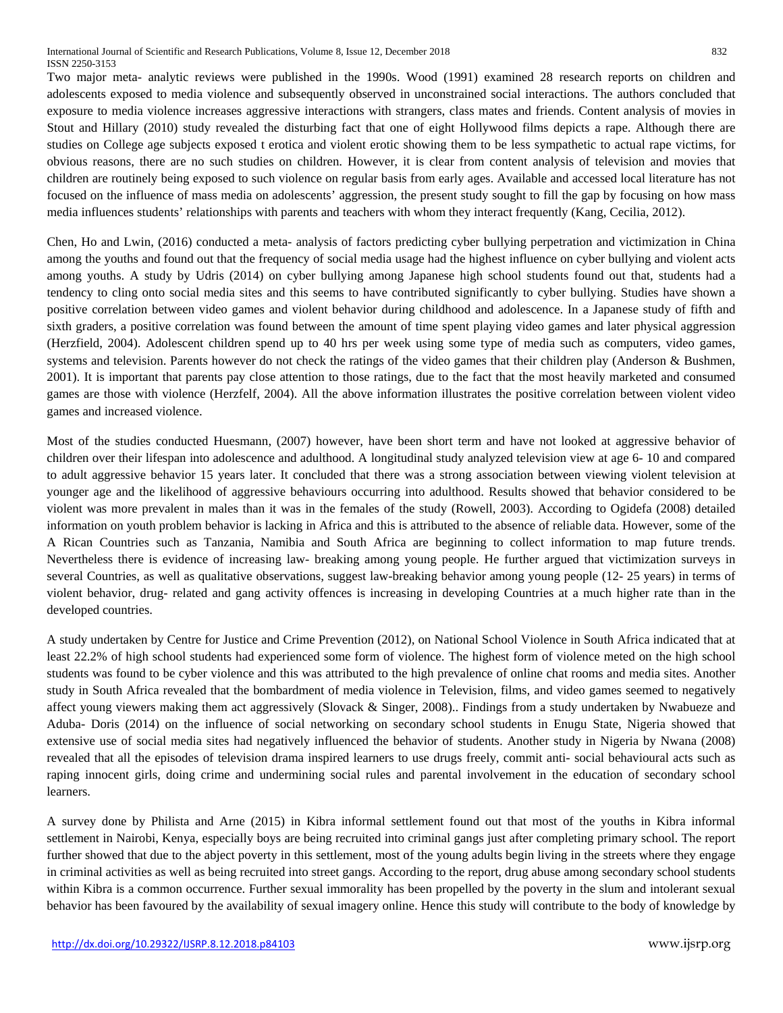Two major meta- analytic reviews were published in the 1990s. Wood (1991) examined 28 research reports on children and adolescents exposed to media violence and subsequently observed in unconstrained social interactions. The authors concluded that exposure to media violence increases aggressive interactions with strangers, class mates and friends. Content analysis of movies in Stout and Hillary (2010) study revealed the disturbing fact that one of eight Hollywood films depicts a rape. Although there are studies on College age subjects exposed t erotica and violent erotic showing them to be less sympathetic to actual rape victims, for obvious reasons, there are no such studies on children. However, it is clear from content analysis of television and movies that children are routinely being exposed to such violence on regular basis from early ages. Available and accessed local literature has not focused on the influence of mass media on adolescents' aggression, the present study sought to fill the gap by focusing on how mass media influences students' relationships with parents and teachers with whom they interact frequently (Kang, Cecilia, 2012).

Chen, Ho and Lwin, (2016) conducted a meta- analysis of factors predicting cyber bullying perpetration and victimization in China among the youths and found out that the frequency of social media usage had the highest influence on cyber bullying and violent acts among youths. A study by Udris (2014) on cyber bullying among Japanese high school students found out that, students had a tendency to cling onto social media sites and this seems to have contributed significantly to cyber bullying. Studies have shown a positive correlation between video games and violent behavior during childhood and adolescence. In a Japanese study of fifth and sixth graders, a positive correlation was found between the amount of time spent playing video games and later physical aggression (Herzfield, 2004). Adolescent children spend up to 40 hrs per week using some type of media such as computers, video games, systems and television. Parents however do not check the ratings of the video games that their children play (Anderson & Bushmen, 2001). It is important that parents pay close attention to those ratings, due to the fact that the most heavily marketed and consumed games are those with violence (Herzfelf, 2004). All the above information illustrates the positive correlation between violent video games and increased violence.

Most of the studies conducted Huesmann, (2007) however, have been short term and have not looked at aggressive behavior of children over their lifespan into adolescence and adulthood. A longitudinal study analyzed television view at age 6- 10 and compared to adult aggressive behavior 15 years later. It concluded that there was a strong association between viewing violent television at younger age and the likelihood of aggressive behaviours occurring into adulthood. Results showed that behavior considered to be violent was more prevalent in males than it was in the females of the study (Rowell, 2003). According to Ogidefa (2008) detailed information on youth problem behavior is lacking in Africa and this is attributed to the absence of reliable data. However, some of the A Rican Countries such as Tanzania, Namibia and South Africa are beginning to collect information to map future trends. Nevertheless there is evidence of increasing law- breaking among young people. He further argued that victimization surveys in several Countries, as well as qualitative observations, suggest law-breaking behavior among young people (12- 25 years) in terms of violent behavior, drug- related and gang activity offences is increasing in developing Countries at a much higher rate than in the developed countries.

A study undertaken by Centre for Justice and Crime Prevention (2012), on National School Violence in South Africa indicated that at least 22.2% of high school students had experienced some form of violence. The highest form of violence meted on the high school students was found to be cyber violence and this was attributed to the high prevalence of online chat rooms and media sites. Another study in South Africa revealed that the bombardment of media violence in Television, films, and video games seemed to negatively affect young viewers making them act aggressively (Slovack & Singer, 2008).. Findings from a study undertaken by Nwabueze and Aduba- Doris (2014) on the influence of social networking on secondary school students in Enugu State, Nigeria showed that extensive use of social media sites had negatively influenced the behavior of students. Another study in Nigeria by Nwana (2008) revealed that all the episodes of television drama inspired learners to use drugs freely, commit anti- social behavioural acts such as raping innocent girls, doing crime and undermining social rules and parental involvement in the education of secondary school learners.

A survey done by Philista and Arne (2015) in Kibra informal settlement found out that most of the youths in Kibra informal settlement in Nairobi, Kenya, especially boys are being recruited into criminal gangs just after completing primary school. The report further showed that due to the abject poverty in this settlement, most of the young adults begin living in the streets where they engage in criminal activities as well as being recruited into street gangs. According to the report, drug abuse among secondary school students within Kibra is a common occurrence. Further sexual immorality has been propelled by the poverty in the slum and intolerant sexual behavior has been favoured by the availability of sexual imagery online. Hence this study will contribute to the body of knowledge by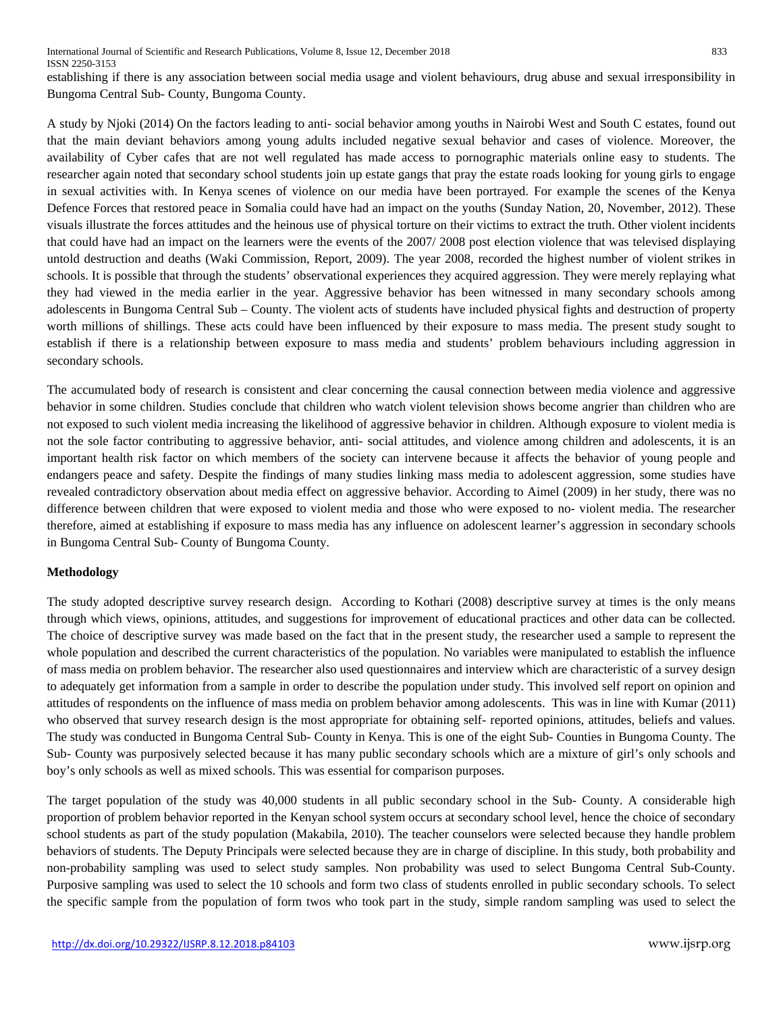establishing if there is any association between social media usage and violent behaviours, drug abuse and sexual irresponsibility in Bungoma Central Sub- County, Bungoma County.

A study by Njoki (2014) On the factors leading to anti- social behavior among youths in Nairobi West and South C estates, found out that the main deviant behaviors among young adults included negative sexual behavior and cases of violence. Moreover, the availability of Cyber cafes that are not well regulated has made access to pornographic materials online easy to students. The researcher again noted that secondary school students join up estate gangs that pray the estate roads looking for young girls to engage in sexual activities with. In Kenya scenes of violence on our media have been portrayed. For example the scenes of the Kenya Defence Forces that restored peace in Somalia could have had an impact on the youths (Sunday Nation, 20, November, 2012). These visuals illustrate the forces attitudes and the heinous use of physical torture on their victims to extract the truth. Other violent incidents that could have had an impact on the learners were the events of the 2007/ 2008 post election violence that was televised displaying untold destruction and deaths (Waki Commission, Report, 2009). The year 2008, recorded the highest number of violent strikes in schools. It is possible that through the students' observational experiences they acquired aggression. They were merely replaying what they had viewed in the media earlier in the year. Aggressive behavior has been witnessed in many secondary schools among adolescents in Bungoma Central Sub – County. The violent acts of students have included physical fights and destruction of property worth millions of shillings. These acts could have been influenced by their exposure to mass media. The present study sought to establish if there is a relationship between exposure to mass media and students' problem behaviours including aggression in secondary schools.

The accumulated body of research is consistent and clear concerning the causal connection between media violence and aggressive behavior in some children. Studies conclude that children who watch violent television shows become angrier than children who are not exposed to such violent media increasing the likelihood of aggressive behavior in children. Although exposure to violent media is not the sole factor contributing to aggressive behavior, anti- social attitudes, and violence among children and adolescents, it is an important health risk factor on which members of the society can intervene because it affects the behavior of young people and endangers peace and safety. Despite the findings of many studies linking mass media to adolescent aggression, some studies have revealed contradictory observation about media effect on aggressive behavior. According to Aimel (2009) in her study, there was no difference between children that were exposed to violent media and those who were exposed to no- violent media. The researcher therefore, aimed at establishing if exposure to mass media has any influence on adolescent learner's aggression in secondary schools in Bungoma Central Sub- County of Bungoma County.

## **Methodology**

The study adopted descriptive survey research design. According to Kothari (2008) descriptive survey at times is the only means through which views, opinions, attitudes, and suggestions for improvement of educational practices and other data can be collected. The choice of descriptive survey was made based on the fact that in the present study, the researcher used a sample to represent the whole population and described the current characteristics of the population. No variables were manipulated to establish the influence of mass media on problem behavior. The researcher also used questionnaires and interview which are characteristic of a survey design to adequately get information from a sample in order to describe the population under study. This involved self report on opinion and attitudes of respondents on the influence of mass media on problem behavior among adolescents. This was in line with Kumar (2011) who observed that survey research design is the most appropriate for obtaining self- reported opinions, attitudes, beliefs and values. The study was conducted in Bungoma Central Sub- County in Kenya. This is one of the eight Sub- Counties in Bungoma County. The Sub- County was purposively selected because it has many public secondary schools which are a mixture of girl's only schools and boy's only schools as well as mixed schools. This was essential for comparison purposes.

The target population of the study was 40,000 students in all public secondary school in the Sub- County. A considerable high proportion of problem behavior reported in the Kenyan school system occurs at secondary school level, hence the choice of secondary school students as part of the study population (Makabila, 2010). The teacher counselors were selected because they handle problem behaviors of students. The Deputy Principals were selected because they are in charge of discipline. In this study, both probability and non-probability sampling was used to select study samples. Non probability was used to select Bungoma Central Sub-County. Purposive sampling was used to select the 10 schools and form two class of students enrolled in public secondary schools. To select the specific sample from the population of form twos who took part in the study, simple random sampling was used to select the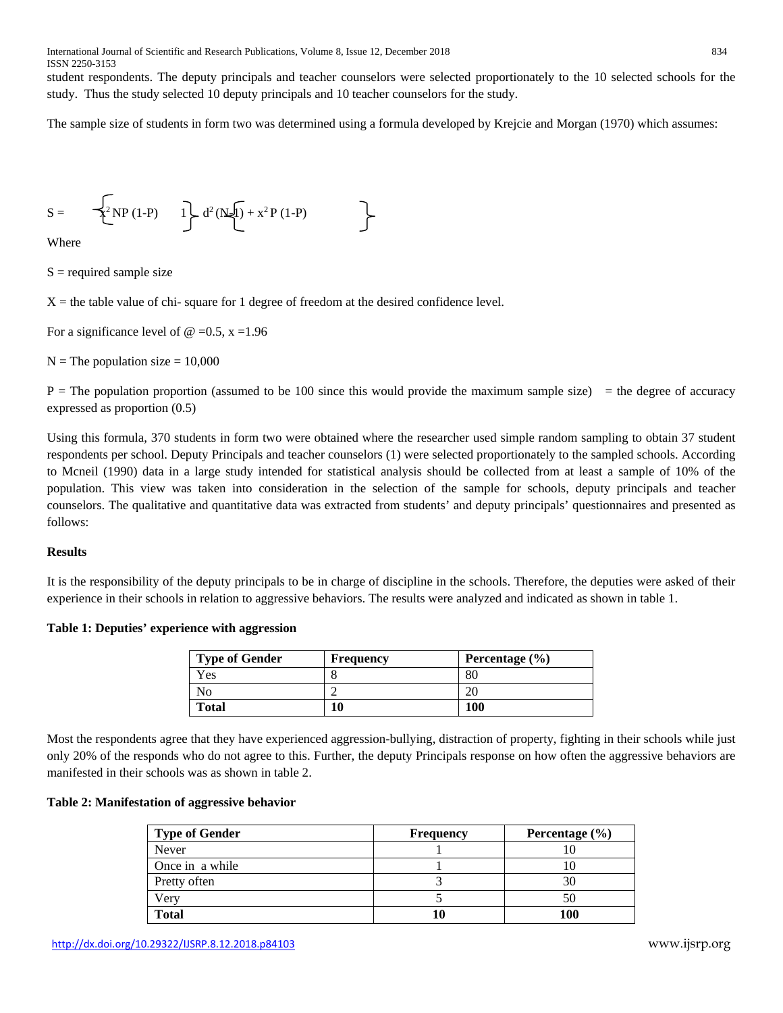student respondents. The deputy principals and teacher counselors were selected proportionately to the 10 selected schools for the study. Thus the study selected 10 deputy principals and 10 teacher counselors for the study.

The sample size of students in form two was determined using a formula developed by Krejcie and Morgan (1970) which assumes:

$$
S = \frac{1}{2} NP (1-P) \qquad 1 \qquad d^2(N\sqrt{1}) + x^2 P (1-P)
$$

Where

 $S =$  required sample size

 $X =$  the table value of chi-square for 1 degree of freedom at the desired confidence level.

For a significance level of  $\omega = 0.5$ , x = 1.96

 $N =$ The population size = 10,000

 $P =$ The population proportion (assumed to be 100 since this would provide the maximum sample size) = the degree of accuracy expressed as proportion (0.5)

Using this formula, 370 students in form two were obtained where the researcher used simple random sampling to obtain 37 student respondents per school. Deputy Principals and teacher counselors (1) were selected proportionately to the sampled schools. According to Mcneil (1990) data in a large study intended for statistical analysis should be collected from at least a sample of 10% of the population. This view was taken into consideration in the selection of the sample for schools, deputy principals and teacher counselors. The qualitative and quantitative data was extracted from students' and deputy principals' questionnaires and presented as follows:

## **Results**

It is the responsibility of the deputy principals to be in charge of discipline in the schools. Therefore, the deputies were asked of their experience in their schools in relation to aggressive behaviors. The results were analyzed and indicated as shown in table 1.

## **Table 1: Deputies' experience with aggression**

| <b>Type of Gender</b> | <b>Frequency</b> | Percentage $(\% )$ |
|-----------------------|------------------|--------------------|
| Yes.                  |                  | 80                 |
| Nο                    |                  |                    |
| <b>Total</b>          | 10               | 100                |

Most the respondents agree that they have experienced aggression-bullying, distraction of property, fighting in their schools while just only 20% of the responds who do not agree to this. Further, the deputy Principals response on how often the aggressive behaviors are manifested in their schools was as shown in table 2.

# **Table 2: Manifestation of aggressive behavior**

| <b>Type of Gender</b> | <b>Frequency</b> | Percentage $(\% )$ |
|-----------------------|------------------|--------------------|
| <b>Never</b>          |                  |                    |
| Once in a while       |                  |                    |
| Pretty often          |                  | 30                 |
| Very                  |                  | 50                 |
| <b>Total</b>          |                  | 100                |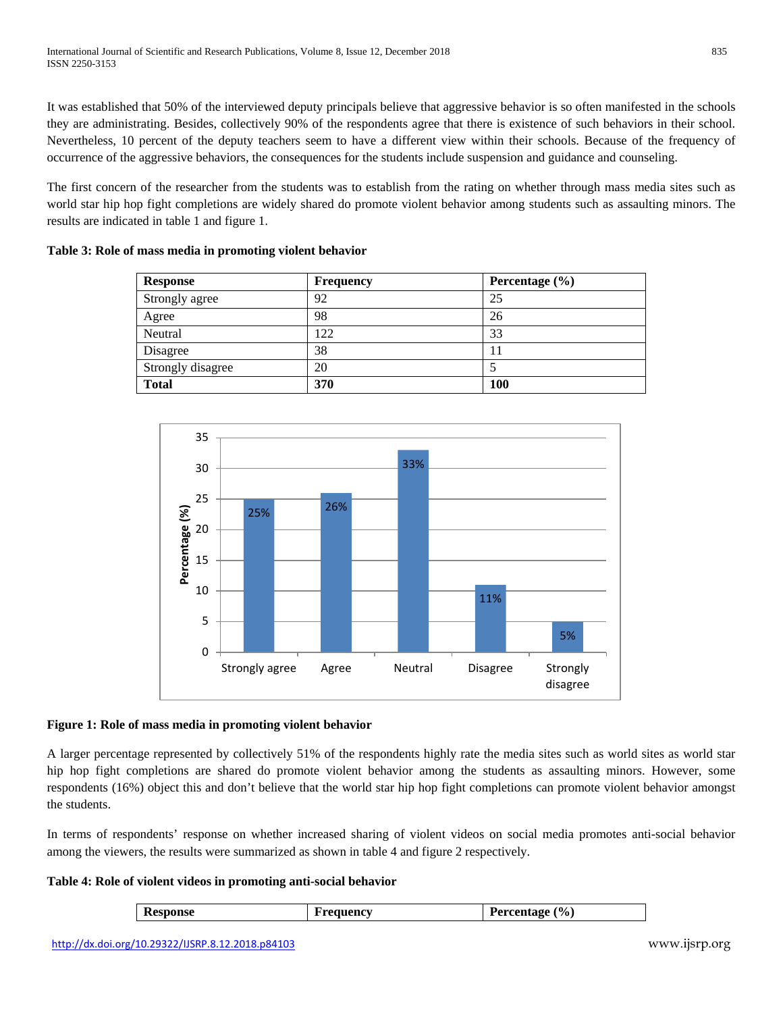It was established that 50% of the interviewed deputy principals believe that aggressive behavior is so often manifested in the schools they are administrating. Besides, collectively 90% of the respondents agree that there is existence of such behaviors in their school. Nevertheless, 10 percent of the deputy teachers seem to have a different view within their schools. Because of the frequency of occurrence of the aggressive behaviors, the consequences for the students include suspension and guidance and counseling.

The first concern of the researcher from the students was to establish from the rating on whether through mass media sites such as world star hip hop fight completions are widely shared do promote violent behavior among students such as assaulting minors. The results are indicated in table 1 and figure 1.

| <b>Response</b>   | <b>Frequency</b> | Percentage $(\% )$ |  |
|-------------------|------------------|--------------------|--|
| Strongly agree    | 92               | 25                 |  |
| Agree             | 98               | 26                 |  |
| Neutral           | 122              | 33                 |  |
| Disagree          | 38               | 11                 |  |
| Strongly disagree | 20               |                    |  |
| <b>Total</b>      | 370              | <b>100</b>         |  |

**Table 3: Role of mass media in promoting violent behavior**



# **Figure 1: Role of mass media in promoting violent behavior**

A larger percentage represented by collectively 51% of the respondents highly rate the media sites such as world sites as world star hip hop fight completions are shared do promote violent behavior among the students as assaulting minors. However, some respondents (16%) object this and don't believe that the world star hip hop fight completions can promote violent behavior amongst the students.

In terms of respondents' response on whether increased sharing of violent videos on social media promotes anti-social behavior among the viewers, the results were summarized as shown in table 4 and figure 2 respectively.

# **Table 4: Role of violent videos in promoting anti-social behavior**

| <b>Response</b> | ıencv | $\mathcal{O}_0$ .<br>Percentage<br>rercen |
|-----------------|-------|-------------------------------------------|
|                 |       |                                           |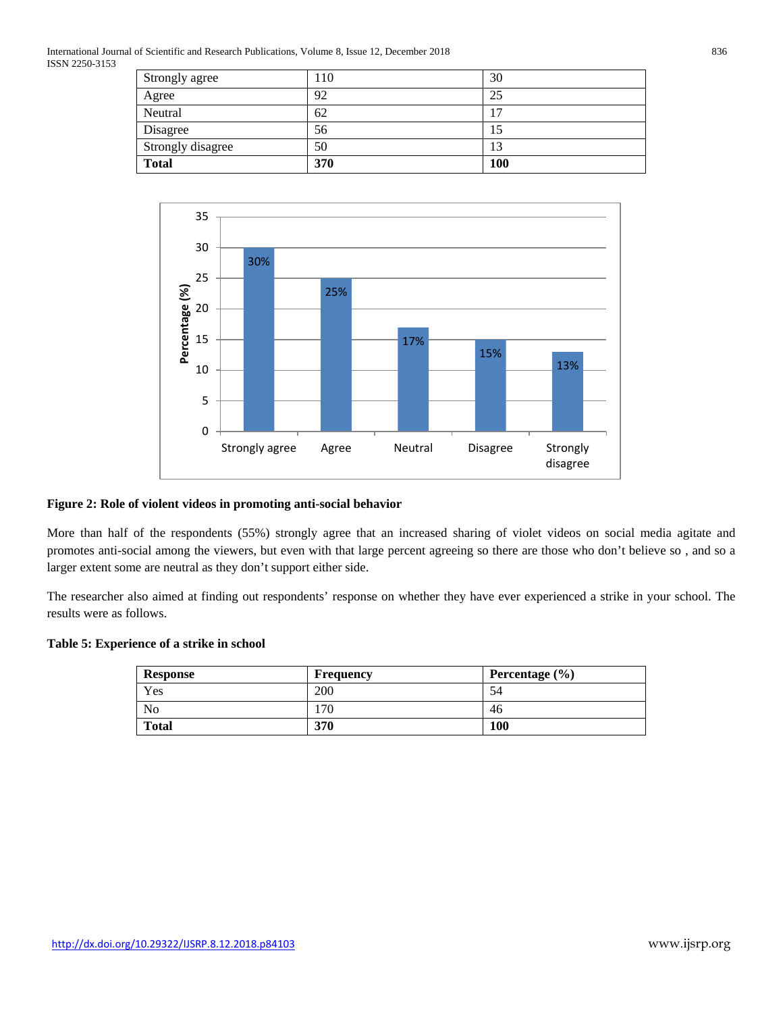International Journal of Scientific and Research Publications, Volume 8, Issue 12, December 2018 836 ISSN 2250-3153

| Strongly disagree   | 50       | 13                   |
|---------------------|----------|----------------------|
| Neutral<br>Disagree | 62<br>56 | $\overline{7}$<br>15 |
| Agree               | 92       | 25                   |
| Strongly agree      | 110      | 30                   |



## **Figure 2: Role of violent videos in promoting anti-social behavior**

More than half of the respondents (55%) strongly agree that an increased sharing of violet videos on social media agitate and promotes anti-social among the viewers, but even with that large percent agreeing so there are those who don't believe so , and so a larger extent some are neutral as they don't support either side.

The researcher also aimed at finding out respondents' response on whether they have ever experienced a strike in your school. The results were as follows.

## **Table 5: Experience of a strike in school**

| <b>Response</b> | <b>Frequency</b> | Percentage $(\% )$ |
|-----------------|------------------|--------------------|
| Yes             | 200              | 54                 |
| N <sub>0</sub>  | 70               | 46                 |
| <b>Total</b>    | 370              | 100                |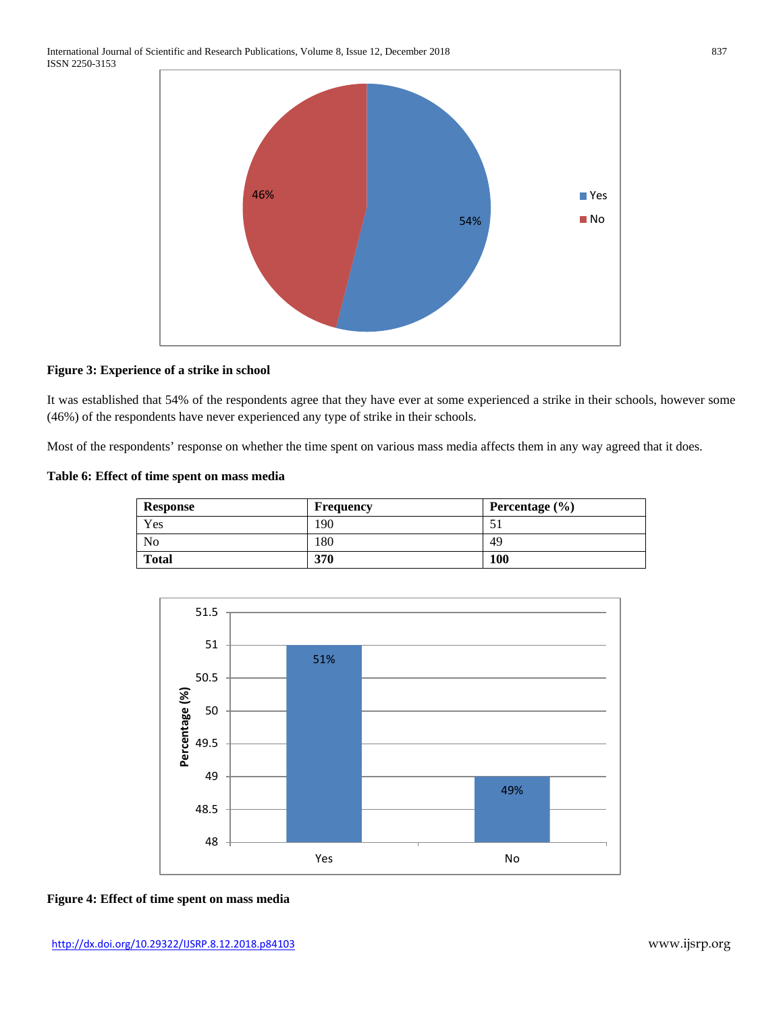

## **Figure 3: Experience of a strike in school**

It was established that 54% of the respondents agree that they have ever at some experienced a strike in their schools, however some (46%) of the respondents have never experienced any type of strike in their schools.

Most of the respondents' response on whether the time spent on various mass media affects them in any way agreed that it does.

## **Table 6: Effect of time spent on mass media**

| <b>Response</b> | <b>Frequency</b> | Percentage $(\% )$ |
|-----------------|------------------|--------------------|
| Yes             | '90              | ر ر                |
| No              | .80              | 49                 |
| <b>Total</b>    | 370              | 100                |



## **Figure 4: Effect of time spent on mass media**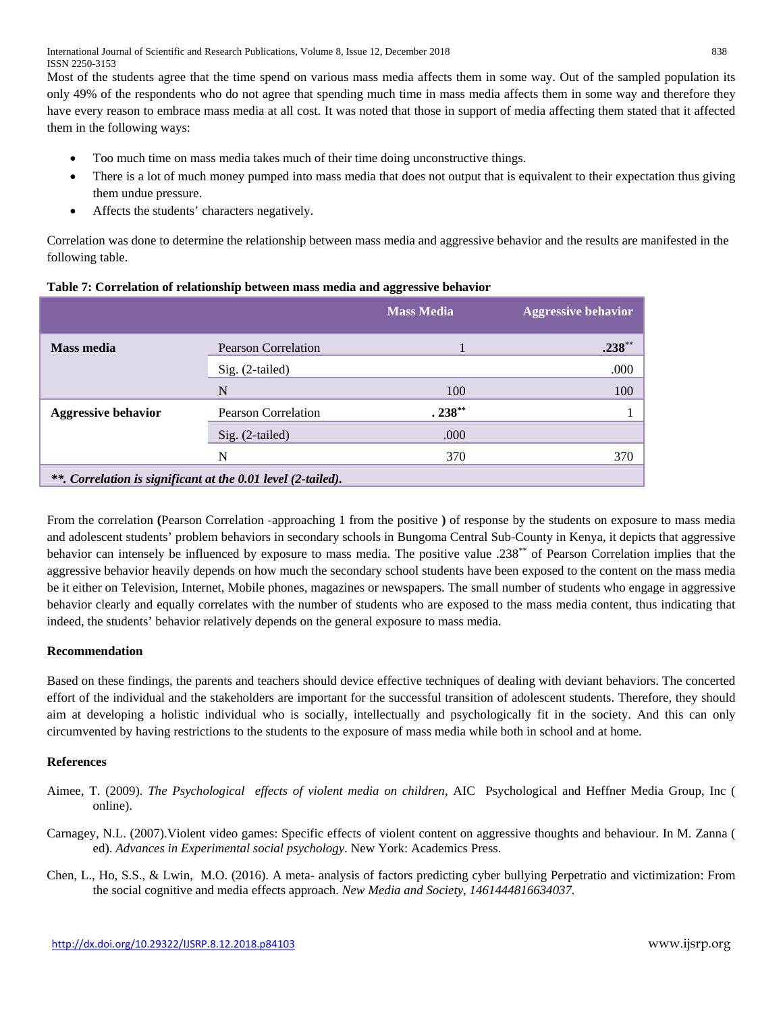International Journal of Scientific and Research Publications, Volume 8, Issue 12, December 2018 838 ISSN 2250-3153

Most of the students agree that the time spend on various mass media affects them in some way. Out of the sampled population its only 49% of the respondents who do not agree that spending much time in mass media affects them in some way and therefore they have every reason to embrace mass media at all cost. It was noted that those in support of media affecting them stated that it affected them in the following ways:

- Too much time on mass media takes much of their time doing unconstructive things.
- There is a lot of much money pumped into mass media that does not output that is equivalent to their expectation thus giving them undue pressure.
- Affects the students' characters negatively.

Correlation was done to determine the relationship between mass media and aggressive behavior and the results are manifested in the following table.

|                                                              |                            | <b>Mass Media</b> | <b>Aggressive behavior</b> |
|--------------------------------------------------------------|----------------------------|-------------------|----------------------------|
| <b>Mass media</b>                                            | <b>Pearson Correlation</b> |                   | $.238***$                  |
|                                                              | $Sig. (2-tailed)$          |                   | .000                       |
|                                                              | N                          | 100               | 100                        |
| <b>Aggressive behavior</b>                                   | Pearson Correlation        | $.238***$         |                            |
|                                                              | Sig. (2-tailed)            | .000              |                            |
|                                                              | N                          | 370               | 370                        |
| **. Correlation is significant at the 0.01 level (2-tailed). |                            |                   |                            |

From the correlation **(**Pearson Correlation -approaching 1 from the positive **)** of response by the students on exposure to mass media and adolescent students' problem behaviors in secondary schools in Bungoma Central Sub-County in Kenya, it depicts that aggressive behavior can intensely be influenced by exposure to mass media. The positive value .238\*\* of Pearson Correlation implies that the aggressive behavior heavily depends on how much the secondary school students have been exposed to the content on the mass media be it either on Television, Internet, Mobile phones, magazines or newspapers. The small number of students who engage in aggressive behavior clearly and equally correlates with the number of students who are exposed to the mass media content, thus indicating that indeed, the students' behavior relatively depends on the general exposure to mass media.

# **Recommendation**

Based on these findings, the parents and teachers should device effective techniques of dealing with deviant behaviors. The concerted effort of the individual and the stakeholders are important for the successful transition of adolescent students. Therefore, they should aim at developing a holistic individual who is socially, intellectually and psychologically fit in the society. And this can only circumvented by having restrictions to the students to the exposure of mass media while both in school and at home.

# **References**

- Aimee, T. (2009). *The Psychological effects of violent media on children*, AIC Psychological and Heffner Media Group, Inc ( online).
- Carnagey, N.L. (2007).Violent video games: Specific effects of violent content on aggressive thoughts and behaviour. In M. Zanna ( ed). *Advances in Experimental social psychology*. New York: Academics Press.
- Chen, L., Ho, S.S., & Lwin, M.O. (2016). A meta- analysis of factors predicting cyber bullying Perpetratio and victimization: From the social cognitive and media effects approach. *New Media and Society, 1461444816634037.*